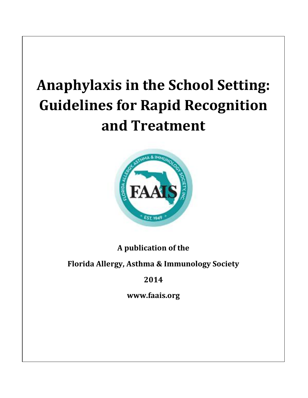# **Anaphylaxis in the School Setting: Guidelines for Rapid Recognition and Treatment**



**A publication of the** 

# **Florida Allergy, Asthma & Immunology Society**

# **2014**

**www.faais.org**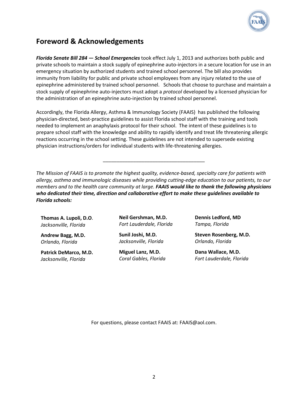

## **Foreword & Acknowledgements**

*Florida Senate Bill 284 — School Emergencies* took effect July 1, 2013 and authorizes both public and private schools to maintain a stock supply of epinephrine auto-injectors in a secure location for use in an emergency situation by authorized students and trained school personnel. The bill also provides immunity from liability for public and private school employees from any injury related to the use of epinephrine administered by trained school personnel. Schools that choose to purchase and maintain a stock supply of epinephrine auto-injectors must adopt a *protocol* developed by a licensed physician for the administration of an epinephrine auto-injection by trained school personnel.

Accordingly, the Florida Allergy, Asthma & Immunology Society (FAAIS) has published the following physician-directed, best-practice guidelines to assist Florida school staff with the training and tools needed to implement an anaphylaxis protocol for their school. The intent of these guidelines is to prepare school staff with the knowledge and ability to rapidly identify and treat life threatening allergic reactions occurring in the school setting. These guidelines are not intended to supersede existing physician instructions/orders for individual students with life-threatening allergies.

*The Mission of FAAIS is to promote the highest quality, evidence-based, specialty care for patients with allergy, asthma and immunologic diseases while providing cutting-edge education to our patients, to our members and to the health care community at large. FAAIS would like to thank the following physicians who dedicated their time, direction and collaborative effort to make these guidelines available to Florida schools:*

\_\_\_\_\_\_\_\_\_\_\_\_\_\_\_\_\_\_\_\_\_\_\_\_\_\_\_\_\_\_\_\_\_\_\_\_\_

**Thomas A. Lupoli, D.O**. *Jacksonville, Florida*

**Andrew Bagg, M.D.** *Orlando, Florida*

**Patrick DeMarco, M.D.** *Jacksonville, Florida*

**Neil Gershman, M.D.** *Fort Lauderdale, Florida*

**Sunil Joshi, M.D.** *Jacksonville, Florida*

**Miguel Lanz, M.D.** *Coral Gables, Florida* **Dennis Ledford, MD** *Tampa, Florida*

**Steven Rosenberg, M.D.** *Orlando, Florida*

**Dana Wallace, M.D.** *Fort Lauderdale, Florida*

For questions, please contact FAAIS at: FAAIS@aol.com.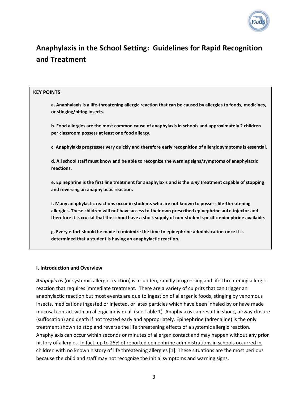

# **Anaphylaxis in the School Setting: Guidelines for Rapid Recognition and Treatment**

#### **KEY POINTS**

**a. Anaphylaxis is a life-threatening allergic reaction that can be caused by allergies to foods, medicines, or stinging/biting insects.**

**b. Food allergies are the most common cause of anaphylaxis in schools and approximately 2 children per classroom possess at least one food allergy.**

**c. Anaphylaxis progresses very quickly and therefore early recognition of allergic symptoms is essential.**

**d. All school staff must know and be able to recognize the warning signs/symptoms of anaphylactic reactions.**

**e. Epinephrine is the first line treatment for anaphylaxis and is the** *only* **treatment capable of stopping and reversing an anaphylactic reaction.**

**f. Many anaphylactic reactions occur in students who are not known to possess life-threatening allergies. These children will not have access to their own prescribed epinephrine auto-injector and therefore it is crucial that the school have a stock supply of non-student specific epinephrine available.**

**g. Every effort should be made to minimize the time to epinephrine administration once it is determined that a student is having an anaphylactic reaction.**

#### **I. Introduction and Overview**

*Anaphylaxis* (or systemic allergic reaction) is a sudden, rapidly progressing and life-threatening allergic reaction that requires immediate treatment. There are a variety of culprits that can trigger an anaphylactic reaction but most events are due to ingestion of allergenic foods, stinging by venomous insects, medications ingested or injected, or latex particles which have been inhaled by or have made mucosal contact with an allergic individual (see Table 1). Anaphylaxis can result in shock, airway closure (suffocation) and death if not treated early and appropriately. Epinephrine (adrenaline) is the only treatment shown to stop and reverse the life threatening effects of a systemic allergic reaction. Anaphylaxis can occur within seconds or minutes of allergen contact and may happen without any prior history of allergies. In fact, up to 25% of reported epinephrine administrations in schools occurred in children with no known history of life threatening allergies [1]. These situations are the most perilous because the child and staff may not recognize the initial symptoms and warning signs.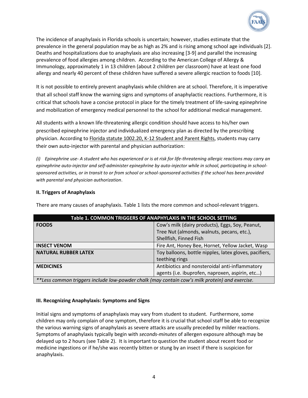

The incidence of anaphylaxis in Florida schools is uncertain; however, studies estimate that the prevalence in the general population may be as high as 2% and is rising among school age individuals [2]. Deaths and hospitalizations due to anaphylaxis are also increasing [3-9] and parallel the increasing prevalence of food allergies among children. According to the American College of Allergy & Immunology, approximately 1 in 13 children (about 2 children per classroom) have at least one food allergy and nearly 40 percent of these children have suffered a severe allergic reaction to foods [10].

It is not possible to entirely prevent anaphylaxis while children are at school. Therefore, it is imperative that all school staff know the warning signs and symptoms of anaphylactic reactions. Furthermore, it is critical that schools have a concise protocol in place for the timely treatment of life-saving epinephrine and mobilization of emergency medical personnel to the school for additional medical management.

All students with a known life-threatening allergic condition should have access to his/her own prescribed epinephrine injector and individualized emergency plan as directed by the prescribing physician. According to Florida statute 1002.20, K-12 Student and Parent Rights, students may carry their own auto-injector with parental and physician authorization:

*(i) Epinephrine use*- *A student who has experienced or is at risk for life-threatening allergic reactions may carry an epinephrine auto-injector and self-administer epinephrine by auto-injector while in school, participating in schoolsponsored activities, or in transit to or from school or school-sponsored activities if the school has been provided with parental and physician authorization*.

#### **II. Triggers of Anaphylaxis**

| Table 1. COMMON TRIGGERS OF ANAPHYLAXIS IN THE SCHOOL SETTING                                  |                                                                                                   |  |
|------------------------------------------------------------------------------------------------|---------------------------------------------------------------------------------------------------|--|
| <b>FOODS</b>                                                                                   | Cow's milk (dairy products), Eggs, Soy, Peanut,<br>Tree Nut (almonds, walnuts, pecans, etc.),     |  |
|                                                                                                | Shellfish, Finned Fish                                                                            |  |
| <b>INSECT VENOM</b>                                                                            | Fire Ant, Honey Bee, Hornet, Yellow Jacket, Wasp                                                  |  |
| <b>NATURAL RUBBER LATEX</b>                                                                    | Toy balloons, bottle nipples, latex gloves, pacifiers,<br>teething rings                          |  |
| <b>MEDICINES</b>                                                                               | Antibiotics and nonsteroidal anti-inflammatory<br>agents (i.e. ibuprofen, naproxen, aspirin, etc) |  |
| **Less common triggers include low-powder chalk (may contain cow's milk protein) and exercise. |                                                                                                   |  |

There are many causes of anaphylaxis. Table 1 lists the more common and school-relevant triggers.

#### **III. Recognizing Anaphylaxis: Symptoms and Signs**

Initial signs and symptoms of anaphylaxis may vary from student to student. Furthermore, some children may only complain of one symptom, therefore it is crucial that school staff be able to recognize the various warning signs of anaphylaxis as severe attacks are usually preceded by milder reactions. Symptoms of anaphylaxis typically begin with *seconds-minutes* of allergen exposure although may be delayed up to 2 hours (see Table 2). It is important to question the student about recent food or medicine ingestions or if he/she was recently bitten or stung by an insect if there is suspicion for anaphylaxis.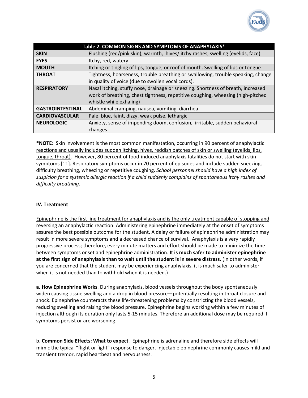

| Table 2. COMMON SIGNS AND SYMPTOMS OF ANAPHYLAXIS* |                                                                                   |  |
|----------------------------------------------------|-----------------------------------------------------------------------------------|--|
| <b>SKIN</b>                                        | Flushing (red/pink skin), warmth, hives/itchy rashes, swelling (eyelids, face)    |  |
| <b>EYES</b>                                        | Itchy, red, watery                                                                |  |
| <b>MOUTH</b>                                       | Itching or tingling of lips, tongue, or roof of mouth. Swelling of lips or tongue |  |
| <b>THROAT</b>                                      | Tightness, hoarseness, trouble breathing or swallowing, trouble speaking, change  |  |
|                                                    | in quality of voice (due to swollen vocal cords).                                 |  |
| <b>RESPIRATORY</b>                                 | Nasal itching, stuffy nose, drainage or sneezing. Shortness of breath, increased  |  |
|                                                    | work of breathing, chest tightness, repetitive coughing, wheezing (high-pitched   |  |
|                                                    | whistle while exhaling)                                                           |  |
| <b>GASTROINTESTINAL</b>                            | Abdominal cramping, nausea, vomiting, diarrhea                                    |  |
| <b>CARDIOVASCULAR</b>                              | Pale, blue, faint, dizzy, weak pulse, lethargic                                   |  |
| <b>NEUROLOGIC</b>                                  | Anxiety, sense of impending doom, confusion, irritable, sudden behavioral         |  |
|                                                    | changes                                                                           |  |

**\*NOTE**: Skin involvement is the most common manifestation, occurring in 90 percent of anaphylactic reactions and usually includes sudden itching, hives, reddish patches of skin or swelling (eyelids, lips, tongue, throat). However, 80 percent of food-induced anaphylaxis fatalities do not start with skin symptoms [11]. Respiratory symptoms occur in 70 percent of episodes and include sudden sneezing, difficulty breathing, wheezing or repetitive coughing. *School personnel should have a high index of suspicion for a systemic allergic reaction if a child suddenly complains of spontaneous itchy rashes and difficulty breathing.*

#### **IV. Treatment**

Epinephrine is the first line treatment for anaphylaxis and is the only treatment capable of stopping and reversing an anaphylactic reaction. Administering epinephrine immediately at the onset of symptoms assures the best possible outcome for the student. A delay or failure of epinephrine administration may result in more severe symptoms and a decreased chance of survival. Anaphylaxis is a very rapidly progressive process; therefore, every minute matters and effort should be made to minimize the time between symptoms onset and epinephrine administration. **It is much safer to administer epinephrine at the first sign of anaphylaxis than to wait until the student is in severe distress**. (In other words, if you are concerned that the student may be experiencing anaphylaxis, it is much safer to administer when it is not needed than to withhold when it is needed.)

**a. How Epinephrine Works**. During anaphylaxis, blood vessels throughout the body spontaneously widen causing tissue swelling and a drop in blood pressure—potentially resulting in throat closure and shock. Epinephrine counteracts these life-threatening problems by constricting the blood vessels, reducing swelling and raising the blood pressure. Epinephrine begins working within a few minutes of injection although its duration only lasts 5-15 minutes. Therefore an additional dose may be required if symptoms persist or are worsening.

b. **Common Side Effects: What to expect**. Epinephrine is adrenaline and therefore side effects will mimic the typical "flight or fight" response to danger. Injectable epinephrine commonly causes mild and transient tremor, rapid heartbeat and nervousness.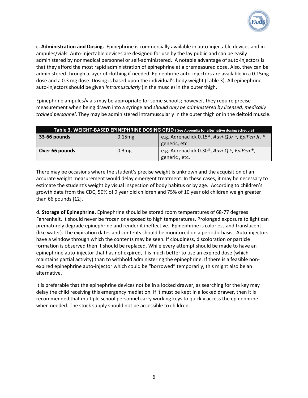

c. **Administration and Dosing.** Epinephrine is commercially available in auto-injectable devices and in ampules/vials. Auto-injectable devices are designed for use by the lay public and can be easily administered by nonmedical personnel or self-administered. A notable advantage of auto-injectors is that they afford the most rapid administration of epinephrine at a premeasured dose. Also, they can be administered through a layer of clothing if needed. Epinephrine auto-injectors are available in a 0.15mg dose and a 0.3 mg dose. Dosing is based upon the individual's body weight (Table 3). All epinephrine auto-injectors should be given *intramuscularly* (in the muscle) in the outer thigh.

Epinephrine ampules/vials may be appropriate for some schools; however, they require precise measurement when being drawn into a syringe and *should only be administered by licensed, medically trained personnel*. They may be administered intramuscularly in the outer thigh or in the deltoid muscle.

| Table 3. WEIGHT-BASED EPINEPHRINE DOSING GRID (See Appendix for alternative dosing schedule) |           |                                                                 |
|----------------------------------------------------------------------------------------------|-----------|-----------------------------------------------------------------|
| 33-66 pounds                                                                                 | $0.15$ mg | e.g. Adrenaclick 0.15 <sup>®</sup> , Auvi-Q Jr ™, EpiPen Jr. ®, |
|                                                                                              |           | generic, etc.                                                   |
| Over 66 pounds                                                                               | 0.3mg     | e.g. Adrenaclick 0.30 <sup>®</sup> , Auvi-Q ™, EpiPen ®,        |
|                                                                                              |           | generic, etc.                                                   |

There may be occasions where the student's precise weight is unknown and the acquisition of an accurate weight measurement would delay emergent treatment. In these cases, it may be necessary to estimate the student's weight by visual inspection of body habitus or by age. According to children's growth data from the CDC, 50% of 9 year old children and 75% of 10 year old children weigh greater than 66 pounds [12].

d**. Storage of Epinephrine.** Epinephrine should be stored room temperatures of 68-77 degrees Fahrenheit. It should never be frozen or exposed to high temperatures. Prolonged exposure to light can prematurely degrade epinephrine and render it ineffective. Epinephrine is colorless and translucent (like water). The expiration dates and contents should be monitored on a periodic basis. Auto-injectors have a window through which the contents may be seen. If cloudiness, discoloration or particle formation is observed then it should be replaced. While every attempt should be made to have an epinephrine auto-injector that has not expired, it is much better to use an expired dose (which maintains partial activity) than to withhold administering the epinephrine. If there is a feasible nonexpired epinephrine auto-injector which could be "borrowed" temporarily, this might also be an alternative.

It is preferable that the epinephrine devices not be in a locked drawer, as searching for the key may delay the child receiving this emergency mediation. If it must be kept in a locked drawer, then it is recommended that multiple school personnel carry working keys to quickly access the epinephrine when needed. The stock supply should not be accessible to children.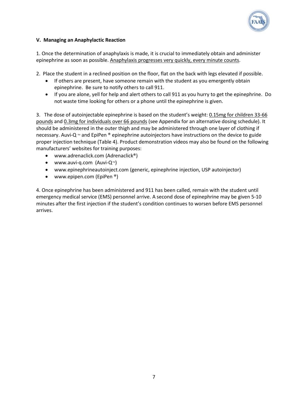

#### **V. Managing an Anaphylactic Reaction**

1. Once the determination of anaphylaxis is made, it is crucial to immediately obtain and administer epinephrine as soon as possible. Anaphylaxis progresses very quickly, every minute counts.

2. Place the student in a reclined position on the floor, flat on the back with legs elevated if possible.

- If others are present, have someone remain with the student as you emergently obtain epinephrine. Be sure to notify others to call 911.
- If you are alone, yell for help and alert others to call 911 as you hurry to get the epinephrine. Do not waste time looking for others or a phone until the epinephrine is given.

3. The dose of autoinjectable epinephrine is based on the student's weight: 0.15mg for children 33-66 pounds and 0.3mg for individuals over 66 pounds (see Appendix for an alternative dosing schedule). It should be administered in the outer thigh and may be administered through one layer of clothing if necessary. Auvi-Q  $<sub>m</sub>$  and EpiPen  $<sup>®</sup>$  epinephrine autoinjectors have instructions on the device to guide</sub></sup> proper injection technique (Table 4). Product demonstration videos may also be found on the following manufacturers' websites for training purposes:

- www.adrenaclick.com (Adrenaclick®)
- www.auvi-q.com (Auvi-Q $M$ )
- www.epinephrineautoinject.com (generic, epinephrine injection, USP autoinjector)
- www.epipen.com (EpiPen ®)

4. Once epinephrine has been administered and 911 has been called, remain with the student until emergency medical service (EMS) personnel arrive. A second dose of epinephrine may be given 5-10 minutes after the first injection if the student's condition continues to worsen before EMS personnel arrives.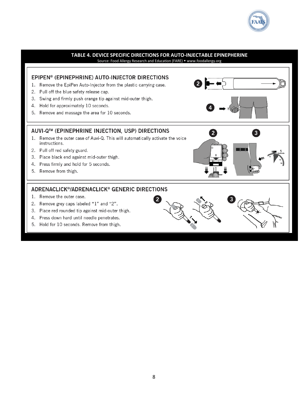

### **TABLE 4. DEVICE SPECIFIC DIRECTIONS FOR AUTO-INJECTABLE EPINEPHERINE**

Source: Food Allergy Research and Education (FARE) • www.foodallergy.org

#### EPIPEN® (EPINEPHRINE) AUTO-INJECTOR DIRECTIONS 2 1. Remove the EpiPen Auto-Injector from the plastic carrying case. 2. Pull off the blue safety release cap. 3. Swing and firmly push orange tip against mid-outer thigh. 4. Hold for approximately 10 seconds. 5. Remove and massage the area for 10 seconds. AUVI-Q™ (EPINEPHRINE INJECTION, USP) DIRECTIONS 2 3 1. Remove the outer case of Auvi-Q. This will automatically activate the voice instructions. 2. Pull off red safety guard. 3. Place black end against mid-outer thigh. 4. Press firmly and hold for 5 seconds. 5. Remove from thigh.

 $\mathbf{2}$ 

#### ADRENACLICK®/ADRENACLICK® GENERIC DIRECTIONS

- 1. Remove the outer case.
- 2. Remove grey caps labeled "1" and "2".
- 3. Place red rounded tip against mid-outer thigh.
- 4. Press down hard until needle penetrates.
- 5. Hold for 10 seconds. Remove from thigh.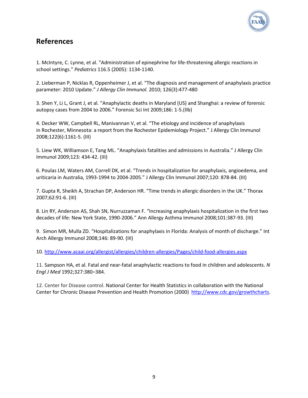

## **References**

1. McIntyre, C. Lynne, et al. "Administration of epinephrine for life-threatening allergic reactions in school settings." *Pediatrics* 116.5 (2005): 1134-1140.

2. Lieberman P, Nicklas R, Oppenheimer J, et al. "The diagnosis and management of anaphylaxis practice parameter: 2010 Update." *J Allergy Clin Immunol.* 2010; 126(3):477-480

3. Shen Y, Li L, Grant J, et al. "Anaphylactic deaths in Maryland (US) and Shanghai: a review of forensic autopsy cases from 2004 to 2006." Forensic Sci Int 2009;186: 1-5.(IIb)

4. Decker WW, Campbell RL, Manivannan V, et al. "The etiology and incidence of anaphylaxis in Rochester, Minnesota: a report from the Rochester Epidemiology Project." J Allergy Clin Immunol 2008;122(6):1161-5. (III)

5. Liew WK, Williamson E, Tang ML. "Anaphylaxis fatalities and admissions in Australia." J Allergy Clin Immunol 2009;123: 434-42. (III)

6. Poulas LM, Waters AM, Correll DK, et al. "Trends in hospitalization for anaphylaxis, angioedema, and uriticaria in Australia, 1993-1994 to 2004-2005." J Allergy Clin Immunol 2007;120: 878-84. (III)

7. Gupta R, Sheikh A, Strachan DP, Anderson HR. "Time trends in allergic disorders in the UK." Thorax 2007;62:91-6. (III)

8. Lin RY, Anderson AS, Shah SN, Nurruzzaman F. "Increasing anaphylaxis hospitalization in the first two decades of life: New York State, 1990-2006." Ann Allergy Asthma Immunol 2008;101:387-93. (III)

9. Simon MR, Mulla ZD. "Hospitalizations for anaphylaxis in Florida: Analysis of month of discharge." Int Arch Allergy Immunol 2008;146: 89-90. (III)

10[. http://www.acaai.org/allergist/allergies/children-allergies/Pages/child-food-allergies.aspx](http://www.acaai.org/allergist/allergies/children-allergies/Pages/child-food-allergies.aspx)

11. Sampson HA, et al. Fatal and near-fatal anaphylactic reactions to food in children and adolescents. *N Engl J Med* 1992;327:380–384.

12. Center for Disease control. National Center for Health Statistics in collaboration with the National Center for Chronic Disease Prevention and Health Promotion (2000) [http://www.cdc.gov/growthcharts.](http://www.cdc.gov/growthcharts)